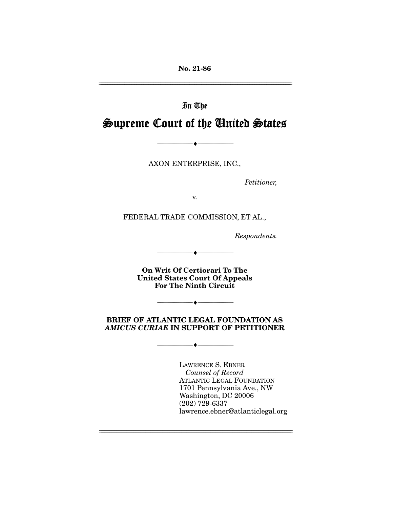**No. 21-86** 

# In The Supreme Court of the United States

AXON ENTERPRISE, INC.,

--------------------------------- ♦ ---------------------------------

Petitioner,

FEDERAL TRADE COMMISSION, ET AL.,

Respondents.

**On Writ Of Certiorari To The United States Court Of Appeals For The Ninth Circuit** 

--------------------------------- ♦ ---------------------------------

--------------------------------- ♦ ---------------------------------

#### **BRIEF OF ATLANTIC LEGAL FOUNDATION AS**  *AMICUS CURIAE* **IN SUPPORT OF PETITIONER**

 $\overbrace{\hspace{27mm}}$   $\overbrace{\hspace{27mm}}$ 

Counsel of Record ATLANTIC LEGAL FOUNDATION<br>1701 Pennsylvania Ave., NW Washington, DC 20006  $(202)$  729-6337 )<br>lawrence ebner lawrence.ebner@atlanticlegal.org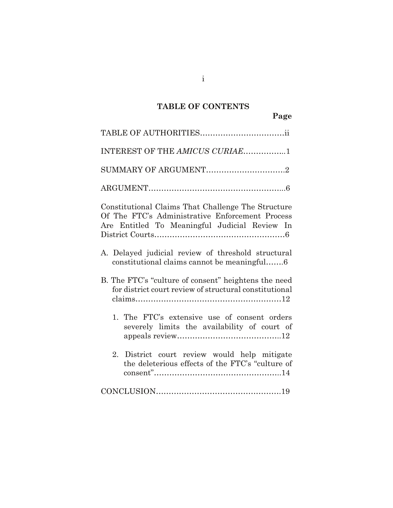## **TABLE OF CONTENTS**

**Page**

| INTEREST OF THE AMICUS CURIAE1                                                                                                                         |
|--------------------------------------------------------------------------------------------------------------------------------------------------------|
| SUMMARY OF ARGUMENT2                                                                                                                                   |
|                                                                                                                                                        |
| Constitutional Claims That Challenge The Structure<br>Of The FTC's Administrative Enforcement Process<br>Are Entitled To Meaningful Judicial Review In |
| A. Delayed judicial review of threshold structural<br>constitutional claims cannot be meaningful6                                                      |
| B. The FTC's "culture of consent" heightens the need<br>for district court review of structural constitutional                                         |
| 1. The FTC's extensive use of consent orders<br>severely limits the availability of court of                                                           |
| District court review would help mitigate<br>2.<br>the deleterious effects of the FTC's "culture of                                                    |
|                                                                                                                                                        |

i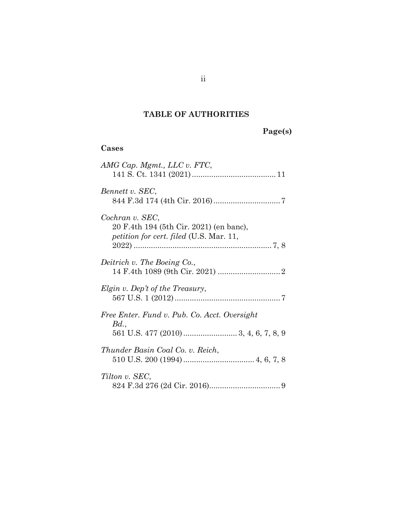#### **TABLE OF AUTHORITIES**

| Page(s) |  |
|---------|--|
|---------|--|

## **Cases** *AMG Cap. Mgmt., LLC v. FTC*, 141 S. Ct. 1341 (2021)......................................[.11](#page-15-0) *Bennett v. SEC*, 844 F.3d 174 (4th Cir. 2016)..............................[.7](#page-11-0) *Cochran v. SEC*, 20 F.4th 194 (5th Cir. 2021) (en banc), *petition for cert. filed* (U.S. Mar. 11, 2022) ...............................................................[.7,](#page-11-1) [8](#page-12-0) *Deitrich v. The Boeing Co.*, 14 F.4th 1089 (9th Cir. 2021) ............................[.2](#page-6-0) *Elgin v. Dep't of the Treasury*, 567 U.S. 1 (2012)................................................[.7](#page-11-2) *Free Enter. Fund v. Pub. Co. Acct. Oversight Bd.*, 561 U.S. 477 (2010)......................... 3, [4,](#page-8-0) [6,](#page-10-0) [7,](#page-11-3) [8,](#page-12-1) [9](#page-13-0) *Thunder Basin Coal Co. v. Reich*, 510 U.S. 200 (1994)................................. 4, [6,](#page-10-1) [7,](#page-11-4) 8 *Tilton v. SEC*, 824 F.3d 276 (2d Cir. 2016)................................[.9](#page-13-1)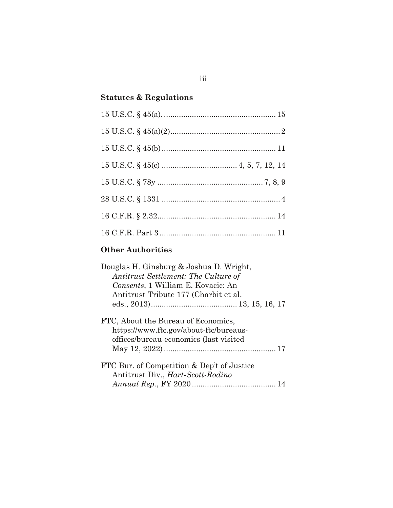## **Statutes & Regulations**

### **Other Authorities**

| Douglas H. Ginsburg & Joshua D. Wright,    |
|--------------------------------------------|
| Antitrust Settlement: The Culture of       |
| Consents, 1 William E. Kovacic: An         |
| Antitrust Tribute 177 (Charbit et al.      |
|                                            |
| FTC, About the Bureau of Economics,        |
| https://www.ftc.gov/about-ftc/bureaus-     |
| offices/bureau-economics (last visited     |
|                                            |
| FTC Bur. of Competition & Dep't of Justice |
| Antitrust Div., <i>Hart-Scott-Rodino</i>   |
|                                            |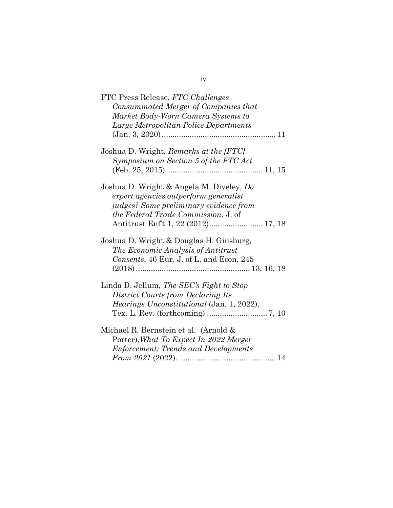| FTC Press Release, FTC Challenges<br>Consummated Merger of Companies that<br>Market Body-Worn Camera Systems to                                                                                                                      |
|--------------------------------------------------------------------------------------------------------------------------------------------------------------------------------------------------------------------------------------|
| Large Metropolitan Police Departments                                                                                                                                                                                                |
| Joshua D. Wright, Remarks at the [FTC]<br>Symposium on Section 5 of the FTC Act                                                                                                                                                      |
| Joshua D. Wright & Angela M. Diveley, Do<br>expert agencies outperform generalist<br><i>judges?</i> Some preliminary evidence from<br><i>the Federal Trade Commission, J. of</i><br>Antitrust Enf <sup>*</sup> t 1, 22 (2012) 17, 18 |
| Joshua D. Wright & Douglas H. Ginsburg,<br>The Economic Analysis of Antitrust<br>Consents, 46 Eur. J. of L. and Econ. 245                                                                                                            |
| Linda D. Jellum, The SEC's Fight to Stop<br>District Courts from Declaring Its<br>Hearings Unconstitutional (Jan. 1, 2022),                                                                                                          |
| Michael R. Bernstein et al. (Arnold &<br>Porter), What To Expect In 2022 Merger<br><b>Enforcement: Trends and Developments</b>                                                                                                       |

### iv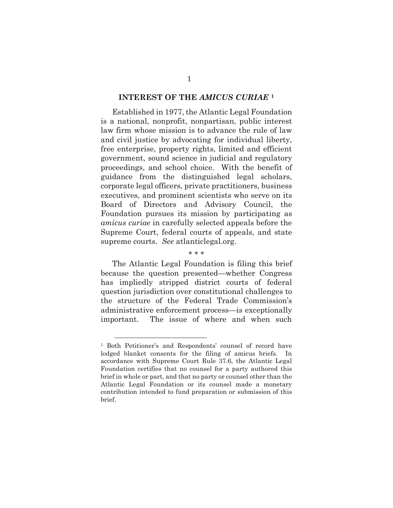#### **INTEREST OF THE** *AMICUS CURIAE* **[1](#page-5-0)**

Established in 1977, the Atlantic Legal Foundation is a national, nonprofit, nonpartisan, public interest law firm whose mission is to advance the rule of law and civil justice by advocating for individual liberty, free enterprise, property rights, limited and efficient government, sound science in judicial and regulatory proceedings, and school choice. With the benefit of guidance from the distinguished legal scholars, corporate legal officers, private practitioners, business executives, and prominent scientists who serve on its Board of Directors and Advisory Council, the Foundation pursues its mission by participating as *amicus curiae* in carefully selected appeals before the Supreme Court, federal courts of appeals, and state supreme courts. *See* atlanticlegal.org.

\* \* \*

The Atlantic Legal Foundation is filing this brief because the question presented—whether Congress has impliedly stripped district courts of federal question jurisdiction over constitutional challenges to the structure of the Federal Trade Commission's administrative enforcement process—is exceptionally important. The issue of where and when such

<span id="page-5-0"></span><sup>1</sup> Both Petitioner's and Respondents' counsel of record have lodged blanket consents for the filing of amicus briefs. In accordance with Supreme Court Rule 37.6, the Atlantic Legal Foundation certifies that no counsel for a party authored this brief in whole or part, and that no party or counsel other than the Atlantic Legal Foundation or its counsel made a monetary contribution intended to fund preparation or submission of this brief.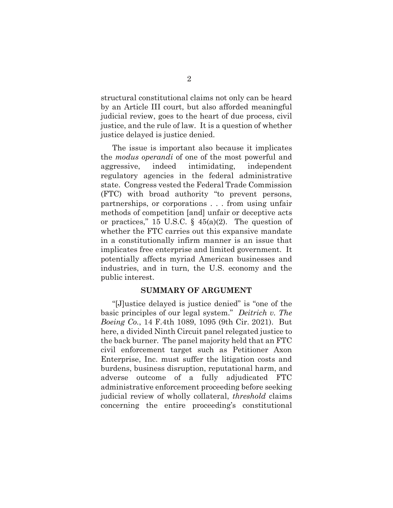structural constitutional claims not only can be heard by an Article III court, but also afforded meaningful judicial review, goes to the heart of due process, civil justice, and the rule of law. It is a question of whether justice delayed is justice denied.

The issue is important also because it implicates the *modus operandi* of one of the most powerful and aggressive, indeed intimidating, independent regulatory agencies in the federal administrative state. Congress vested the Federal Trade Commission (FTC) with broad authority "to prevent persons, partnerships, or corporations . . . from using unfair methods of competition [and] unfair or deceptive acts or practices," 15 U.S.C.  $\S$  45(a)(2). The question of whether the FTC carries out this expansive mandate in a constitutionally infirm manner is an issue that implicates free enterprise and limited government. It potentially affects myriad American businesses and industries, and in turn, the U.S. economy and the public interest.

#### <span id="page-6-1"></span><span id="page-6-0"></span>**SUMMARY OF ARGUMENT**

"[J]ustice delayed is justice denied" is "one of the basic principles of our legal system." *Deitrich v. The Boeing Co.*, 14 F.4th 1089, 1095 (9th Cir. 2021). But here, a divided Ninth Circuit panel relegated justice to the back burner. The panel majority held that an FTC civil enforcement target such as Petitioner Axon Enterprise, Inc. must suffer the litigation costs and burdens, business disruption, reputational harm, and adverse outcome of a fully adjudicated FTC administrative enforcement proceeding before seeking judicial review of wholly collateral, *threshold* claims concerning the entire proceeding's constitutional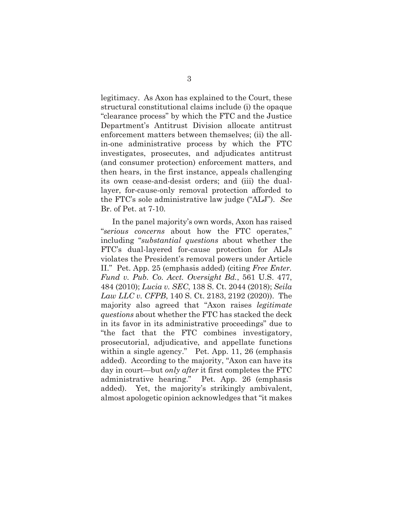legitimacy. As Axon has explained to the Court, these structural constitutional claims include (i) the opaque "clearance process" by which the FTC and the Justice Department's Antitrust Division allocate antitrust enforcement matters between themselves; (ii) the allin-one administrative process by which the FTC investigates, prosecutes, and adjudicates antitrust (and consumer protection) enforcement matters, and then hears, in the first instance, appeals challenging its own cease-and-desist orders; and (iii) the duallayer, for-cause-only removal protection afforded to the FTC's sole administrative law judge ("ALJ"). *See*  Br. of Pet. at 7-10*.*

In the panel majority's own words, Axon has raised "*serious concerns* about how the FTC operates," including "*substantial questions* about whether the FTC's dual-layered for-cause protection for ALJs violates the President's removal powers under Article II." Pet. App. 25 (emphasis added) (citing *Free Enter. Fund v. Pub. Co. Acct. Oversight Bd.*, 561 U.S. 477, 484 (2010); *Lucia v. SEC*, 138 S. Ct. 2044 (2018); *Seila Law LLC v. CFPB*, 140 S. Ct. 2183, 2192 (2020)). The majority also agreed that "Axon raises *legitimate questions* about whether the FTC has stacked the deck in its favor in its administrative proceedings" due to "the fact that the FTC combines investigatory, prosecutorial, adjudicative, and appellate functions within a single agency." Pet. App. 11, 26 (emphasis added). According to the majority, "Axon can have its day in court—but *only after* it first completes the FTC administrative hearing." Pet. App. 26 (emphasis added). Yet, the majority's strikingly ambivalent, almost apologetic opinion acknowledges that "it makes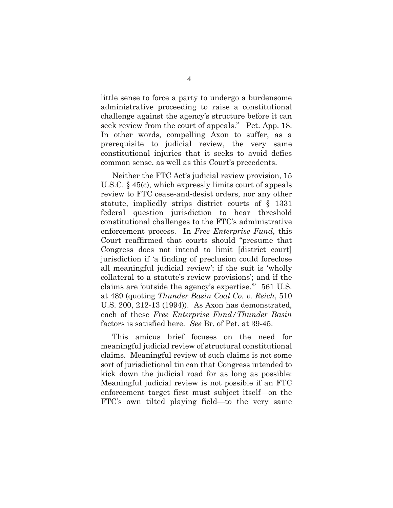little sense to force a party to undergo a burdensome administrative proceeding to raise a constitutional challenge against the agency's structure before it can seek review from the court of appeals." Pet. App. 18. In other words, compelling Axon to suffer, as a prerequisite to judicial review, the very same constitutional injuries that it seeks to avoid defies common sense, as well as this Court's precedents.

<span id="page-8-1"></span>Neither the FTC Act's judicial review provision, 15 U.S.C. § 45(c), which expressly limits court of appeals review to FTC cease-and-desist orders, nor any other statute, impliedly strips district courts of § 1331 federal question jurisdiction to hear threshold constitutional challenges to the FTC's administrative enforcement process. In *Free Enterprise Fund*, this Court reaffirmed that courts should "presume that Congress does not intend to limit [district court] jurisdiction if 'a finding of preclusion could foreclose all meaningful judicial review'; if the suit is 'wholly collateral to a statute's review provisions'; and if the claims are 'outside the agency's expertise.'"561 U.S. at 489 (quoting *Thunder Basin Coal Co. v. Reich*, 510 U.S. 200, 212-13 (1994)). As Axon has demonstrated, each of these *Free Enterprise Fund/Thunder Basin*  factors is satisfied here. *See* Br. of Pet. at 39-45.

<span id="page-8-0"></span>This amicus brief focuses on the need for meaningful judicial review of structural constitutional claims. Meaningful review of such claims is not some sort of jurisdictional tin can that Congress intended to kick down the judicial road for as long as possible: Meaningful judicial review is not possible if an FTC enforcement target first must subject itself—on the FTC's own tilted playing field—to the very same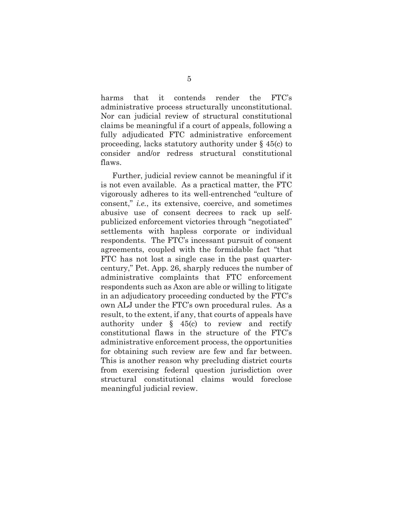harms that it contends render the FTC's administrative process structurally unconstitutional. Nor can judicial review of structural constitutional claims be meaningful if a court of appeals, following a fully adjudicated FTC administrative enforcement proceeding, lacks statutory authority under § 45(c) to consider and/or redress structural constitutional flaws.

<span id="page-9-0"></span>Further, judicial review cannot be meaningful if it is not even available. As a practical matter, the FTC vigorously adheres to its well-entrenched "culture of consent," *i.e.*, its extensive, coercive, and sometimes abusive use of consent decrees to rack up selfpublicized enforcement victories through "negotiated" settlements with hapless corporate or individual respondents. The FTC's incessant pursuit of consent agreements, coupled with the formidable fact "that FTC has not lost a single case in the past quartercentury," Pet. App. 26, sharply reduces the number of administrative complaints that FTC enforcement respondents such as Axon are able or willing to litigate in an adjudicatory proceeding conducted by the FTC's own ALJ under the FTC's own procedural rules. As a result, to the extent, if any, that courts of appeals have authority under  $\S$  45(c) to review and rectify constitutional flaws in the structure of the FTC's administrative enforcement process, the opportunities for obtaining such review are few and far between. This is another reason why precluding district courts from exercising federal question jurisdiction over structural constitutional claims would foreclose meaningful judicial review.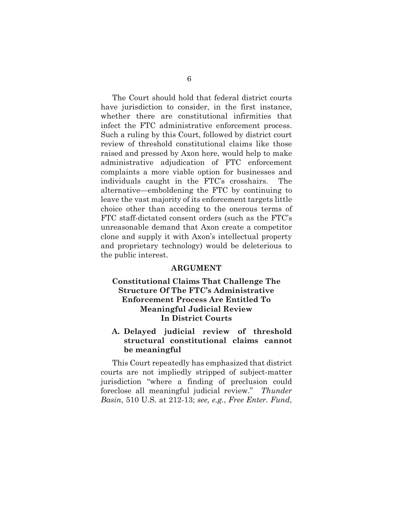The Court should hold that federal district courts have jurisdiction to consider, in the first instance, whether there are constitutional infirmities that infect the FTC administrative enforcement process. Such a ruling by this Court, followed by district court review of threshold constitutional claims like those raised and pressed by Axon here, would help to make administrative adjudication of FTC enforcement complaints a more viable option for businesses and individuals caught in the FTC's crosshairs. The alternative—emboldening the FTC by continuing to leave the vast majority of its enforcement targets little choice other than acceding to the onerous terms of FTC staff-dictated consent orders (such as the FTC's unreasonable demand that Axon create a competitor clone and supply it with Axon's intellectual property and proprietary technology) would be deleterious to the public interest.

#### <span id="page-10-1"></span>**ARGUMENT**

#### **Constitutional Claims That Challenge The Structure Of The FTC's Administrative Enforcement Process Are Entitled To Meaningful Judicial Review In District Courts**

#### **A. Delayed judicial review of threshold structural constitutional claims cannot be meaningful**

<span id="page-10-0"></span>This Court repeatedly has emphasized that district courts are not impliedly stripped of subject-matter jurisdiction "where a finding of preclusion could foreclose all meaningful judicial review." *Thunder Basin*, 510 U.S. at 212-13; *see, e.g.*, *Free Enter. Fund*,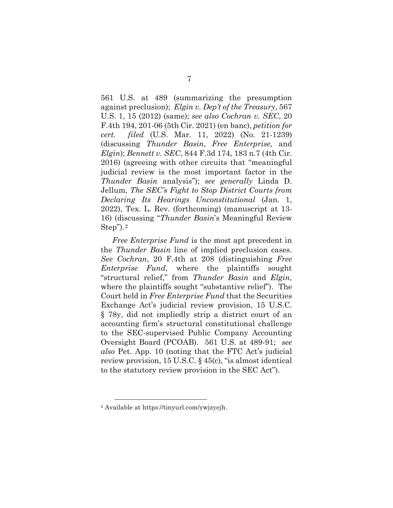<span id="page-11-4"></span><span id="page-11-2"></span><span id="page-11-1"></span><span id="page-11-0"></span>561 U.S. at 489 (summarizing the presumption against preclusion); *Elgin v. Dep't of the Treasury*, 567 U.S. 1, 15 (2012) (same); *see also Cochran v. SEC*, 20 F.4th 194, 201-06 (5th Cir. 2021) (en banc), *petition for cert. filed* (U.S. Mar. 11, 2022) (No. 21-1239) (discussing *Thunder Basin*, *Free Enterprise,* and *Elgin*); *Bennett v. SEC*, 844 F.3d 174, 183 n.7 (4th Cir. 2016) (agreeing with other circuits that "meaningful judicial review is the most important factor in the *Thunder Basin* analysis"); *see generally* Linda D. Jellum, *The SEC's Fight to Stop District Courts from Declaring Its Hearings Unconstitutional* (Jan. 1, 2022), Tex. L. Rev. (forthcoming) (manuscript at 13- 16) (discussing "*Thunder Basin*'s Meaningful Review Step").[2](#page-11-7)

<span id="page-11-6"></span>*Free Enterprise Fund* is the most apt precedent in the *Thunder Basin* line of implied preclusion cases. *See Cochran*, 20 F.4th at 208 (distinguishing *Free Enterprise Fund*, where the plaintiffs sought "structural relief," from *Thunder Basin* and *Elgin*, where the plaintiffs sought "substantive relief"). The Court held in *Free Enterprise Fund* that the Securities Exchange Act's judicial review provision, 15 U.S.C. § 78y, did not impliedly strip a district court of an accounting firm's structural constitutional challenge to the SEC-supervised Public Company Accounting Oversight Board (PCOAB). 561 U.S. at 489-91; *see also* Pet. App. 10 (noting that the FTC Act's judicial review provision, 15 U.S.C. § 45(c), "is almost identical to the statutory review provision in the SEC Act").

<span id="page-11-7"></span><span id="page-11-5"></span><span id="page-11-3"></span><sup>2</sup> Available at https://tinyurl.com/ywjzyejh.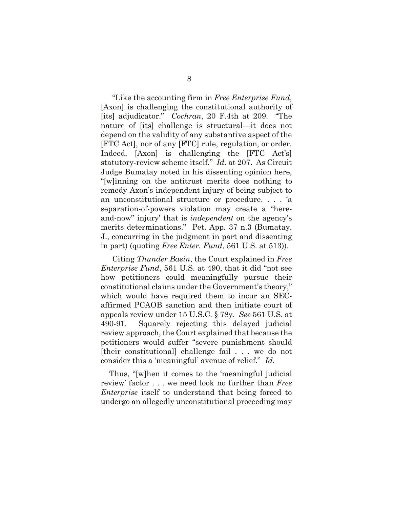<span id="page-12-0"></span>"Like the accounting firm in *Free Enterprise Fund*, [Axon] is challenging the constitutional authority of [its] adjudicator." *Cochran*, 20 F.4th at 209. "The nature of [its] challenge is structural—it does not depend on the validity of any substantive aspect of the [FTC Act], nor of any [FTC] rule, regulation, or order. Indeed, [Axon] is challenging the [FTC Act's] statutory-review scheme itself." *Id.* at 207. As Circuit Judge Bumatay noted in his dissenting opinion here, "[w]inning on the antitrust merits does nothing to remedy Axon's independent injury of being subject to an unconstitutional structure or procedure. . . . 'a separation-of-powers violation may create a "hereand-now" injury' that is *independent* on the agency's merits determinations." Pet. App. 37 n.3 (Bumatay, J., concurring in the judgment in part and dissenting in part) (quoting *Free Enter. Fund*, 561 U.S. at 513)).

<span id="page-12-2"></span><span id="page-12-1"></span>Citing *Thunder Basin*, the Court explained in *Free Enterprise Fund*, 561 U.S. at 490, that it did "not see how petitioners could meaningfully pursue their constitutional claims under the Government's theory," which would have required them to incur an SECaffirmed PCAOB sanction and then initiate court of appeals review under 15 U.S.C. § 78y. *See* 561 U.S. at 490-91. Squarely rejecting this delayed judicial review approach, the Court explained that because the petitioners would suffer "severe punishment should [their constitutional] challenge fail . . . we do not consider this a 'meaningful' avenue of relief." *Id.*

 Thus, "[w]hen it comes to the 'meaningful judicial review' factor . . . we need look no further than *Free Enterprise* itself to understand that being forced to undergo an allegedly unconstitutional proceeding may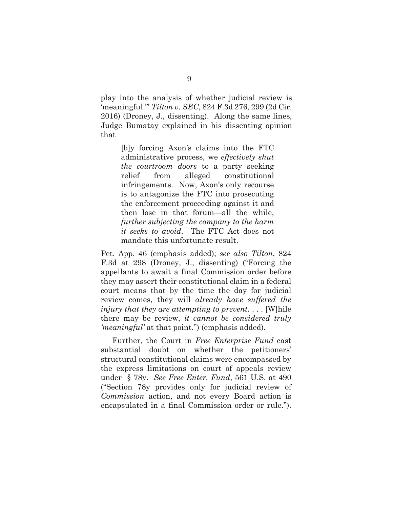<span id="page-13-1"></span>play into the analysis of whether judicial review is 'meaningful.'" *Tilton v. SEC*, 824 F.3d 276, 299 (2d Cir. 2016) (Droney, J., dissenting). Along the same lines, Judge Bumatay explained in his dissenting opinion that

> [b]y forcing Axon's claims into the FTC administrative process, we *effectively shut the courtroom doors* to a party seeking relief from alleged constitutional infringements. Now, Axon's only recourse is to antagonize the FTC into prosecuting the enforcement proceeding against it and then lose in that forum—all the while, *further subjecting the company to the harm it seeks to avoid*. The FTC Act does not mandate this unfortunate result.

Pet. App. 46 (emphasis added); *see also Tilton*, 824 F.3d at 298 (Droney, J., dissenting) ("Forcing the appellants to await a final Commission order before they may assert their constitutional claim in a federal court means that by the time the day for judicial review comes, they will *already have suffered the injury that they are attempting to prevent*. . . . [W]hile there may be review, *it cannot be considered truly 'meaningful'* at that point.") (emphasis added).

<span id="page-13-2"></span><span id="page-13-0"></span>Further, the Court in *Free Enterprise Fund* cast substantial doubt on whether the petitioners' structural constitutional claims were encompassed by the express limitations on court of appeals review under § 78y. *See Free Enter. Fund*, 561 U.S. at 490 ("Section 78y provides only for judicial review of *Commission* action, and not every Board action is encapsulated in a final Commission order or rule.").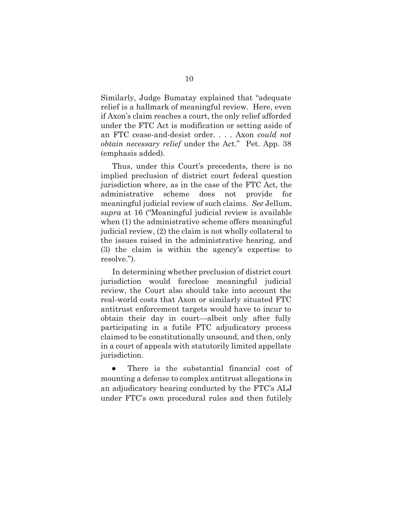Similarly, Judge Bumatay explained that "adequate relief is a hallmark of meaningful review. Here, even if Axon's claim reaches a court, the only relief afforded under the FTC Act is modification or setting aside of an FTC cease-and-desist order. . . . Axon *could not obtain necessary relief* under the Act." Pet. App. 38 (emphasis added).

Thus, under this Court's precedents, there is no implied preclusion of district court federal question jurisdiction where, as in the case of the FTC Act, the administrative scheme does not provide for meaningful judicial review of such claims. *See* Jellum, *supra* at 16 ("Meaningful judicial review is available when (1) the administrative scheme offers meaningful judicial review, (2) the claim is not wholly collateral to the issues raised in the administrative hearing, and (3) the claim is within the agency's expertise to resolve.").

In determining whether preclusion of district court jurisdiction would foreclose meaningful judicial review, the Court also should take into account the real-world costs that Axon or similarly situated FTC antitrust enforcement targets would have to incur to obtain their day in court—albeit only after fully participating in a futile FTC adjudicatory process claimed to be constitutionally unsound, and then, only in a court of appeals with statutorily limited appellate jurisdiction.

There is the substantial financial cost of mounting a defense to complex antitrust allegations in an adjudicatory hearing conducted by the FTC's ALJ under FTC's own procedural rules and then futilely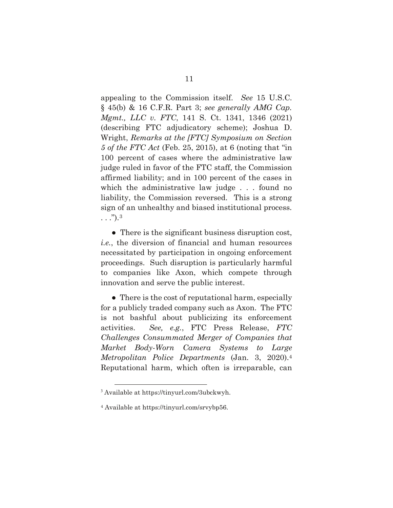<span id="page-15-2"></span><span id="page-15-1"></span><span id="page-15-0"></span>appealing to the Commission itself. *See* 15 U.S.C. § 45(b) & 16 C.F.R. Part 3; *see generally AMG Cap. Mgmt., LLC v. FTC*, 141 S. Ct. 1341, 1346 (2021) (describing FTC adjudicatory scheme); Joshua D. Wright, *Remarks at the [FTC] Symposium on Section 5 of the FTC Act* (Feb. 25, 2015), at 6 (noting that "in 100 percent of cases where the administrative law judge ruled in favor of the FTC staff, the Commission affirmed liability; and in 100 percent of the cases in which the administrative law judge . . . found no liability, the Commission reversed. This is a strong sign of an unhealthy and biased institutional process.  $\ldots$ " $)$ .<sup>[3](#page-15-4)</sup>

• There is the significant business disruption cost, *i.e.*, the diversion of financial and human resources necessitated by participation in ongoing enforcement proceedings. Such disruption is particularly harmful to companies like Axon, which compete through innovation and serve the public interest.

<span id="page-15-3"></span>• There is the cost of reputational harm, especially for a publicly traded company such as Axon. The FTC is not bashful about publicizing its enforcement activities. *See, e.g.*, FTC Press Release, *FTC Challenges Consummated Merger of Companies that Market Body-Worn Camera Systems to Large Metropolitan Police Departments* (Jan. 3, 2020).[4](#page-15-5) Reputational harm, which often is irreparable, can

<span id="page-15-4"></span><sup>3</sup> Available at https://tinyurl.com/3ubckwyh.

<span id="page-15-5"></span><sup>4</sup> Available at https://tinyurl.com/srvybp56.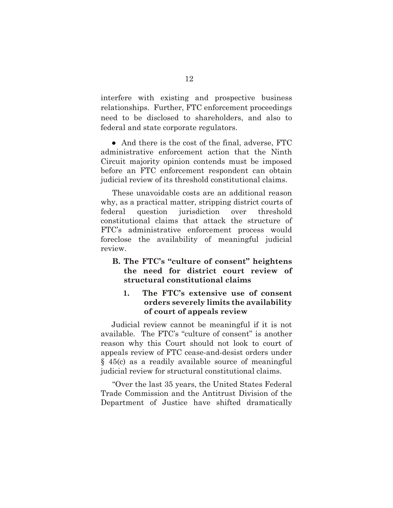interfere with existing and prospective business relationships. Further, FTC enforcement proceedings need to be disclosed to shareholders, and also to federal and state corporate regulators.

• And there is the cost of the final, adverse, FTC administrative enforcement action that the Ninth Circuit majority opinion contends must be imposed before an FTC enforcement respondent can obtain judicial review of its threshold constitutional claims.

These unavoidable costs are an additional reason why, as a practical matter, stripping district courts of federal question jurisdiction over threshold constitutional claims that attack the structure of FTC's administrative enforcement process would foreclose the availability of meaningful judicial review.

**B. The FTC's "culture of consent" heightens the need for district court review of structural constitutional claims** 

#### **1. The FTC's extensive use of consent orders severely limits the availability of court of appeals review**

 Judicial review cannot be meaningful if it is not available. The FTC's "culture of consent" is another reason why this Court should not look to court of appeals review of FTC cease-and-desist orders under § 45(c) as a readily available source of meaningful judicial review for structural constitutional claims.

<span id="page-16-0"></span>"Over the last 35 years, the United States Federal Trade Commission and the Antitrust Division of the Department of Justice have shifted dramatically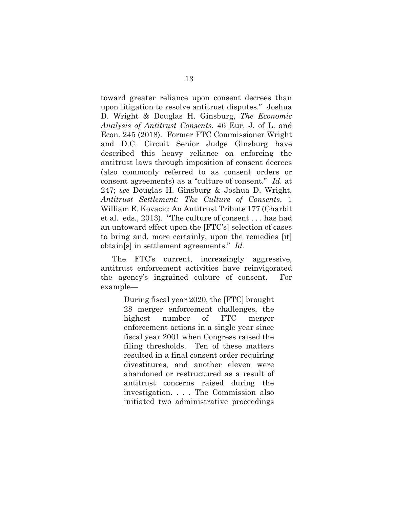<span id="page-17-1"></span>toward greater reliance upon consent decrees than upon litigation to resolve antitrust disputes." Joshua D. Wright & Douglas H. Ginsburg, *The Economic Analysis of Antitrust Consents*, 46 Eur. J. of L. and Econ. 245 (2018). Former FTC Commissioner Wright and D.C. Circuit Senior Judge Ginsburg have described this heavy reliance on enforcing the antitrust laws through imposition of consent decrees (also commonly referred to as consent orders or consent agreements) as a "culture of consent." *Id.* at 247; *see* Douglas H. Ginsburg & Joshua D. Wright, *Antitrust Settlement: The Culture of Consents*, 1 William E. Kovacic: An Antitrust Tribute 177 (Charbit et al. eds., 2013). "The culture of consent . . . has had an untoward effect upon the [FTC's] selection of cases to bring and, more certainly, upon the remedies [it] obtain[s] in settlement agreements." *Id.* 

<span id="page-17-0"></span>The FTC's current, increasingly aggressive, antitrust enforcement activities have reinvigorated the agency's ingrained culture of consent. For example—

> During fiscal year 2020, the [FTC] brought 28 merger enforcement challenges, the highest number of FTC merger enforcement actions in a single year since fiscal year 2001 when Congress raised the filing thresholds. Ten of these matters resulted in a final consent order requiring divestitures, and another eleven were abandoned or restructured as a result of antitrust concerns raised during the investigation. . . . The Commission also initiated two administrative proceedings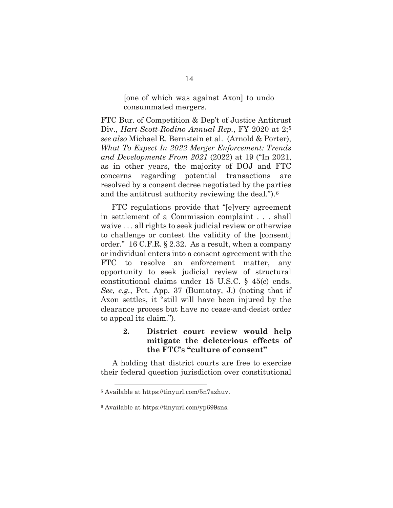[one of which was against Axon] to undo consummated mergers.

<span id="page-18-2"></span>FTC Bur. of Competition & Dep't of Justice Antitrust Div., *Hart-Scott-Rodino Annual Rep.*, FY 2020 at 2;[5](#page-18-3) *see also* Michael R. Bernstein et al. (Arnold & Porter), *What To Expect In 2022 Merger Enforcement: Trends and Developments From 2021* (2022) at 19 ("In 2021, as in other years, the majority of DOJ and FTC concerns regarding potential transactions are resolved by a consent decree negotiated by the parties and the antitrust authority reviewing the deal.").[6](#page-18-4)

<span id="page-18-1"></span> FTC regulations provide that "[e]very agreement in settlement of a Commission complaint . . . shall waive . . . all rights to seek judicial review or otherwise to challenge or contest the validity of the [consent] order." 16 C.F.R. § 2.32. As a result, when a company or individual enters into a consent agreement with the FTC to resolve an enforcement matter, any opportunity to seek judicial review of structural constitutional claims under 15 U.S.C. § 45(c) ends. *See*, *e.g.*, Pet. App. 37 (Bumatay, J.) (noting that if Axon settles, it "still will have been injured by the clearance process but have no cease-and-desist order to appeal its claim.").

#### <span id="page-18-0"></span> **2. District court review would help mitigate the deleterious effects of the FTC's "culture of consent"**

A holding that district courts are free to exercise their federal question jurisdiction over constitutional

<span id="page-18-3"></span><sup>5</sup> Available at https://tinyurl.com/5n7azhuv.

<span id="page-18-4"></span><sup>6</sup> Available at https://tinyurl.com/yp699sns.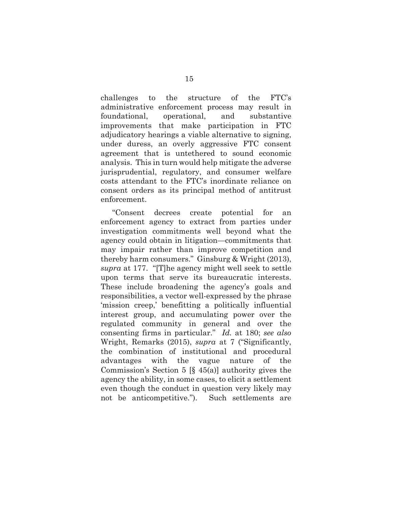challenges to the structure of the FTC's administrative enforcement process may result in foundational, operational, and substantive improvements that make participation in FTC adjudicatory hearings a viable alternative to signing, under duress, an overly aggressive FTC consent agreement that is untethered to sound economic analysis. This in turn would help mitigate the adverse jurisprudential, regulatory, and consumer welfare costs attendant to the FTC's inordinate reliance on consent orders as its principal method of antitrust enforcement.

"Consent decrees create potential for an enforcement agency to extract from parties under investigation commitments well beyond what the agency could obtain in litigation—commitments that may impair rather than improve competition and thereby harm consumers." Ginsburg & Wright (2013), *supra* at 177. "[T]he agency might well seek to settle upon terms that serve its bureaucratic interests. These include broadening the agency's goals and responsibilities, a vector well-expressed by the phrase 'mission creep,' benefitting a politically influential interest group, and accumulating power over the regulated community in general and over the consenting firms in particular." *Id.* at 180; *see also*  Wright, Remarks (2015), *supra* at 7 ("Significantly, the combination of institutional and procedural advantages with the vague nature of the Commission's Section 5  $[\S 45(a)]$  authority gives the agency the ability, in some cases, to elicit a settlement even though the conduct in question very likely may not be anticompetitive."). Such settlements are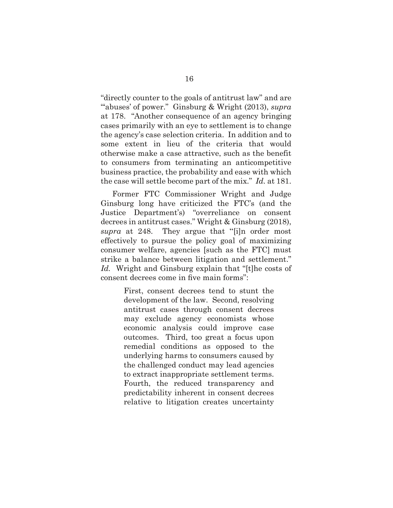"directly counter to the goals of antitrust law" and are "abuses' of power." Ginsburg & Wright (2013), *supra* at 178. "Another consequence of an agency bringing cases primarily with an eye to settlement is to change the agency's case selection criteria. In addition and to some extent in lieu of the criteria that would otherwise make a case attractive, such as the benefit to consumers from terminating an anticompetitive business practice, the probability and ease with which the case will settle become part of the mix." *Id.* at 181.

Former FTC Commissioner Wright and Judge Ginsburg long have criticized the FTC's (and the Justice Department's) "overreliance on consent decrees in antitrust cases." Wright & Ginsburg (2018), *supra* at 248. They argue that "[i]n order most effectively to pursue the policy goal of maximizing consumer welfare, agencies [such as the FTC] must strike a balance between litigation and settlement." *Id.* Wright and Ginsburg explain that "[t]he costs of consent decrees come in five main forms":

> First, consent decrees tend to stunt the development of the law. Second, resolving antitrust cases through consent decrees may exclude agency economists whose economic analysis could improve case outcomes. Third, too great a focus upon remedial conditions as opposed to the underlying harms to consumers caused by the challenged conduct may lead agencies to extract inappropriate settlement terms. Fourth, the reduced transparency and predictability inherent in consent decrees relative to litigation creates uncertainty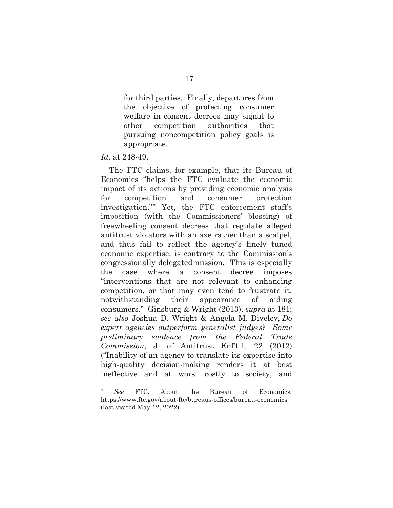for third parties. Finally, departures from the objective of protecting consumer welfare in consent decrees may signal to other competition authorities that pursuing noncompetition policy goals is appropriate.

#### *Id.* at 248-49.

 The FTC claims, for example, that its Bureau of Economics "helps the FTC evaluate the economic impact of its actions by providing economic analysis for competition and consumer protection investigation."[7](#page-21-2) Yet, the FTC enforcement staff's imposition (with the Commissioners' blessing) of freewheeling consent decrees that regulate alleged antitrust violators with an axe rather than a scalpel, and thus fail to reflect the agency's finely tuned economic expertise, is contrary to the Commission's congressionally delegated mission. This is especially the case where a consent decree imposes "interventions that are not relevant to enhancing competition, or that may even tend to frustrate it, notwithstanding their appearance of aiding consumers." Ginsburg & Wright (2013), *supra* at 181; *see also* Joshua D. Wright & Angela M. Diveley, *Do expert agencies outperform generalist judges? Some preliminary evidence from the Federal Trade Commission*, J. of Antitrust Enf't 1, 22 (2012) ("Inability of an agency to translate its expertise into high-quality decision-making renders it at best ineffective and at worst costly to society, and

<span id="page-21-2"></span><span id="page-21-1"></span><span id="page-21-0"></span><sup>7</sup> *See* FTC, About the Bureau of Economics, https://www.ftc.gov/about-ftc/bureaus-offices/bureau-economics (last visited May 12, 2022).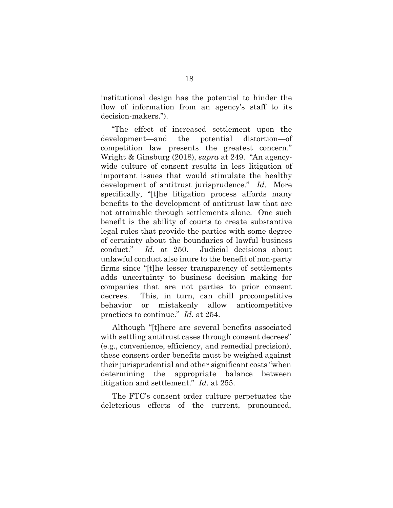institutional design has the potential to hinder the flow of information from an agency's staff to its decision-makers.").

<span id="page-22-0"></span> "The effect of increased settlement upon the development—and the potential distortion—of competition law presents the greatest concern." Wright & Ginsburg (2018), *supra* at 249. "An agencywide culture of consent results in less litigation of important issues that would stimulate the healthy development of antitrust jurisprudence." *Id*. More specifically, "[t]he litigation process affords many benefits to the development of antitrust law that are not attainable through settlements alone. One such benefit is the ability of courts to create substantive legal rules that provide the parties with some degree of certainty about the boundaries of lawful business conduct." *Id.* at 250. Judicial decisions about unlawful conduct also inure to the benefit of non-party firms since "[t]he lesser transparency of settlements adds uncertainty to business decision making for companies that are not parties to prior consent decrees. This, in turn, can chill procompetitive behavior or mistakenly allow anticompetitive practices to continue." *Id.* at 254.

Although "[t]here are several benefits associated with settling antitrust cases through consent decrees" (e.g., convenience, efficiency, and remedial precision), these consent order benefits must be weighed against their jurisprudential and other significant costs "when determining the appropriate balance between litigation and settlement." *Id.* at 255.

The FTC's consent order culture perpetuates the deleterious effects of the current, pronounced,